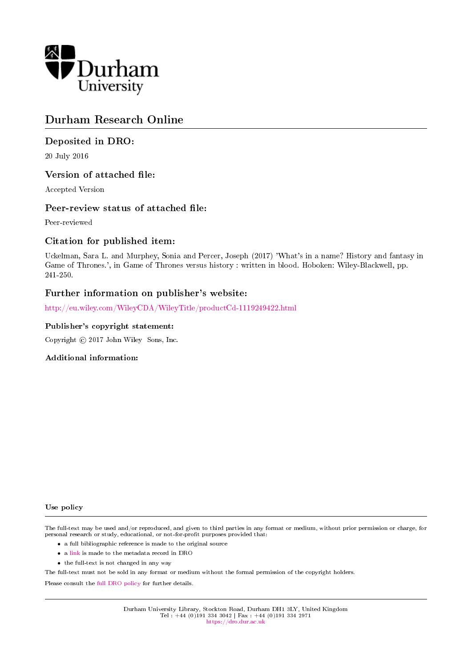

# Durham Research Online

## Deposited in DRO:

20 July 2016

## Version of attached file:

Accepted Version

## Peer-review status of attached file:

Peer-reviewed

## Citation for published item:

Uckelman, Sara L. and Murphey, Sonia and Percer, Joseph (2017) 'What's in a name? History and fantasy in Game of Thrones.', in Game of Thrones versus history : written in blood. Hoboken: Wiley-Blackwell, pp. 241-250.

## Further information on publisher's website:

<http://eu.wiley.com/WileyCDA/WileyTitle/productCd-1119249422.html>

### Publisher's copyright statement:

Copyright  $\odot$  2017 John Wiley Sons, Inc.

### Additional information:

#### Use policy

The full-text may be used and/or reproduced, and given to third parties in any format or medium, without prior permission or charge, for personal research or study, educational, or not-for-profit purposes provided that:

- a full bibliographic reference is made to the original source
- a [link](http://dro.dur.ac.uk/19272/) is made to the metadata record in DRO
- the full-text is not changed in any way

The full-text must not be sold in any format or medium without the formal permission of the copyright holders.

Please consult the [full DRO policy](https://dro.dur.ac.uk/policies/usepolicy.pdf) for further details.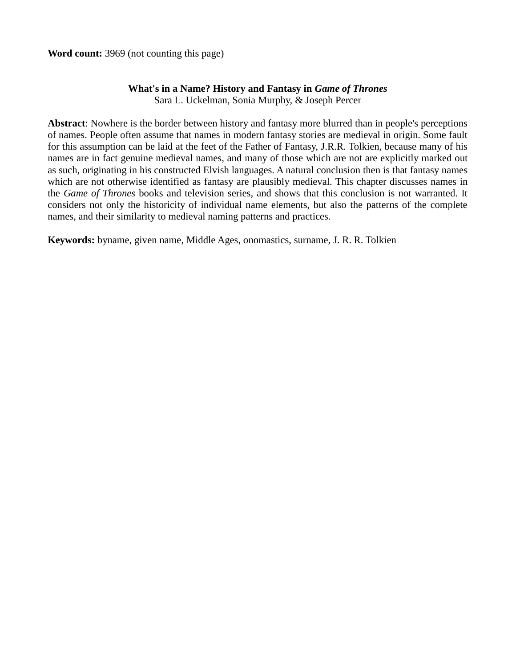**Word count:** 3969 (not counting this page)

## **What's in a Name? History and Fantasy in** *Game of Thrones*

Sara L. Uckelman, Sonia Murphy, & Joseph Percer

**Abstract**: Nowhere is the border between history and fantasy more blurred than in people's perceptions of names. People often assume that names in modern fantasy stories are medieval in origin. Some fault for this assumption can be laid at the feet of the Father of Fantasy, J.R.R. Tolkien, because many of his names are in fact genuine medieval names, and many of those which are not are explicitly marked out as such, originating in his constructed Elvish languages. A natural conclusion then is that fantasy names which are not otherwise identified as fantasy are plausibly medieval. This chapter discusses names in the *Game of Thrones* books and television series, and shows that this conclusion is not warranted. It considers not only the historicity of individual name elements, but also the patterns of the complete names, and their similarity to medieval naming patterns and practices.

**Keywords:** byname, given name, Middle Ages, onomastics, surname, J. R. R. Tolkien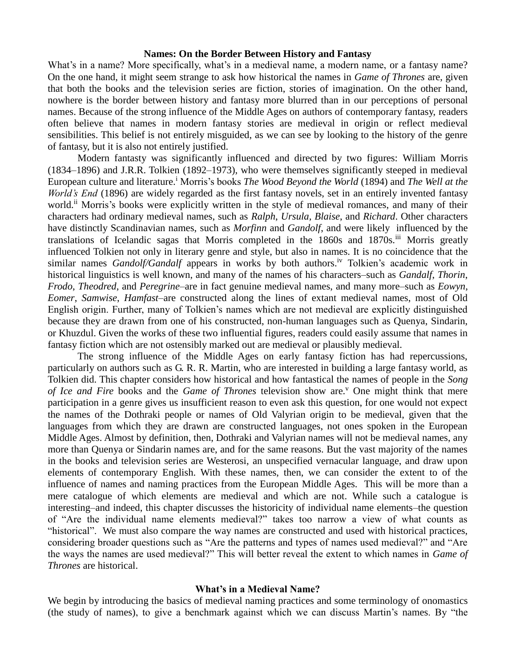#### **Names: On the Border Between History and Fantasy**

What's in a name? More specifically, what's in a medieval name, a modern name, or a fantasy name? On the one hand, it might seem strange to ask how historical the names in *Game of Thrones* are, given that both the books and the television series are fiction, stories of imagination. On the other hand, nowhere is the border between history and fantasy more blurred than in our perceptions of personal names. Because of the strong influence of the Middle Ages on authors of contemporary fantasy, readers often believe that names in modern fantasy stories are medieval in origin or reflect medieval sensibilities. This belief is not entirely misguided, as we can see by looking to the history of the genre of fantasy, but it is also not entirely justified.

Modern fantasty was significantly influenced and directed by two figures: William Morris (1834–1896) and J.R.R. Tolkien (1892–1973), who were themselves significantly steeped in medieval European culture and literature.<sup>i</sup> Morris's books *The Wood Beyond the World* (1894) and *The Well at the World's End* (1896) are widely regarded as the first fantasy novels, set in an entirely invented fantasy world.<sup>ii</sup> Morris's books were explicitly written in the style of medieval romances, and many of their characters had ordinary medieval names, such as *Ralph*, *Ursula, Blaise*, and *Richard*. Other characters have distinctly Scandinavian names, such as *Morfinn* and *Gandolf*, and were likely influenced by the translations of Icelandic sagas that Morris completed in the 1860s and 1870s.<sup>iii</sup> Morris greatly influenced Tolkien not only in literary genre and style, but also in names. It is no coincidence that the similar names *Gandolf/Gandalf* appears in works by both authors.<sup>iv</sup> Tolkien's academic work in historical linguistics is well known, and many of the names of his characters–such as *Gandalf*, *Thorin*, *Frodo*, *Theodred*, and *Peregrine–*are in fact genuine medieval names, and many more–such as *Eowyn*, *Eomer*, *Samwise*, *Hamfast–*are constructed along the lines of extant medieval names, most of Old English origin. Further, many of Tolkien's names which are not medieval are explicitly distinguished because they are drawn from one of his constructed, non-human languages such as Quenya, Sindarin, or Khuzdul. Given the works of these two influential figures, readers could easily assume that names in fantasy fiction which are not ostensibly marked out are medieval or plausibly medieval.

The strong influence of the Middle Ages on early fantasy fiction has had repercussions, particularly on authors such as G. R. R. Martin, who are interested in building a large fantasy world, as Tolkien did. This chapter considers how historical and how fantastical the names of people in the *Song of Ice and Fire* books and the *Game of Thrones* television show are.<sup>v</sup> One might think that mere participation in a genre gives us insufficient reason to even ask this question, for one would not expect the names of the Dothraki people or names of Old Valyrian origin to be medieval, given that the languages from which they are drawn are constructed languages, not ones spoken in the European Middle Ages. Almost by definition, then, Dothraki and Valyrian names will not be medieval names, any more than Quenya or Sindarin names are, and for the same reasons. But the vast majority of the names in the books and television series are Westerosi, an unspecified vernacular language, and draw upon elements of contemporary English. With these names, then, we can consider the extent to of the influence of names and naming practices from the European Middle Ages. This will be more than a mere catalogue of which elements are medieval and which are not. While such a catalogue is interesting–and indeed, this chapter discusses the historicity of individual name elements–the question of "Are the individual name elements medieval?" takes too narrow a view of what counts as "historical". We must also compare the way names are constructed and used with historical practices, considering broader questions such as "Are the patterns and types of names used medieval?" and "Are the ways the names are used medieval?" This will better reveal the extent to which names in *Game of Thrones* are historical.

## **What's in a Medieval Name?**

We begin by introducing the basics of medieval naming practices and some terminology of onomastics (the study of names), to give a benchmark against which we can discuss Martin's names. By "the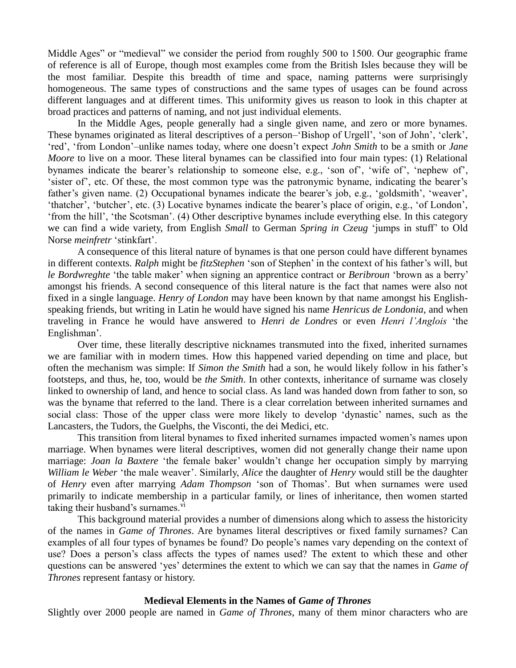Middle Ages" or "medieval" we consider the period from roughly 500 to 1500. Our geographic frame of reference is all of Europe, though most examples come from the British Isles because they will be the most familiar. Despite this breadth of time and space, naming patterns were surprisingly homogeneous. The same types of constructions and the same types of usages can be found across different languages and at different times. This uniformity gives us reason to look in this chapter at broad practices and patterns of naming, and not just individual elements.

In the Middle Ages, people generally had a single given name, and zero or more bynames. These bynames originated as literal descriptives of a person–'Bishop of Urgell', 'son of John', 'clerk', 'red', 'from London'–unlike names today, where one doesn't expect *John Smith* to be a smith or *Jane Moore* to live on a moor. These literal bynames can be classified into four main types: (1) Relational bynames indicate the bearer's relationship to someone else, e.g., 'son of', 'wife of', 'nephew of', 'sister of', etc. Of these, the most common type was the patronymic byname, indicating the bearer's father's given name. (2) Occupational bynames indicate the bearer's job, e.g., 'goldsmith', 'weaver', 'thatcher', 'butcher', etc. (3) Locative bynames indicate the bearer's place of origin, e.g., 'of London', 'from the hill', 'the Scotsman'. (4) Other descriptive bynames include everything else. In this category we can find a wide variety, from English *Small* to German *Spring in Czeug* 'jumps in stuff' to Old Norse *meinfretr* 'stinkfart'.

A consequence of this literal nature of bynames is that one person could have different bynames in different contexts. *Ralph* might be *fitzStephen* 'son of Stephen' in the context of his father's will, but *le Bordwreghte* 'the table maker' when signing an apprentice contract or *Beribroun* 'brown as a berry' amongst his friends. A second consequence of this literal nature is the fact that names were also not fixed in a single language. *Henry of London* may have been known by that name amongst his Englishspeaking friends, but writing in Latin he would have signed his name *Henricus de Londonia*, and when traveling in France he would have answered to *Henri de Londres* or even *Henri l'Anglois* 'the Englishman'.

Over time, these literally descriptive nicknames transmuted into the fixed, inherited surnames we are familiar with in modern times. How this happened varied depending on time and place, but often the mechanism was simple: If *Simon the Smith* had a son, he would likely follow in his father's footsteps, and thus, he, too, would be *the Smith*. In other contexts, inheritance of surname was closely linked to ownership of land, and hence to social class. As land was handed down from father to son, so was the byname that referred to the land. There is a clear correlation between inherited surnames and social class: Those of the upper class were more likely to develop 'dynastic' names, such as the Lancasters, the Tudors, the Guelphs, the Visconti, the dei Medici, etc.

This transition from literal bynames to fixed inherited surnames impacted women's names upon marriage. When bynames were literal descriptives, women did not generally change their name upon marriage: *Joan la Baxtere* 'the female baker' wouldn't change her occupation simply by marrying *William le Weber* 'the male weaver'. Similarly, *Alice* the daughter of *Henry* would still be the daughter of *Henry* even after marrying *Adam Thompson* 'son of Thomas'. But when surnames were used primarily to indicate membership in a particular family, or lines of inheritance, then women started taking their husband's surnames. $\overline{v}$ <sup>i</sup>

This background material provides a number of dimensions along which to assess the historicity of the names in *Game of Thrones*. Are bynames literal descriptives or fixed family surnames? Can examples of all four types of bynames be found? Do people's names vary depending on the context of use? Does a person's class affects the types of names used? The extent to which these and other questions can be answered 'yes' determines the extent to which we can say that the names in *Game of Thrones* represent fantasy or history.

### **Medieval Elements in the Names of** *Game of Thrones*

Slightly over 2000 people are named in *Game of Thrones*, many of them minor characters who are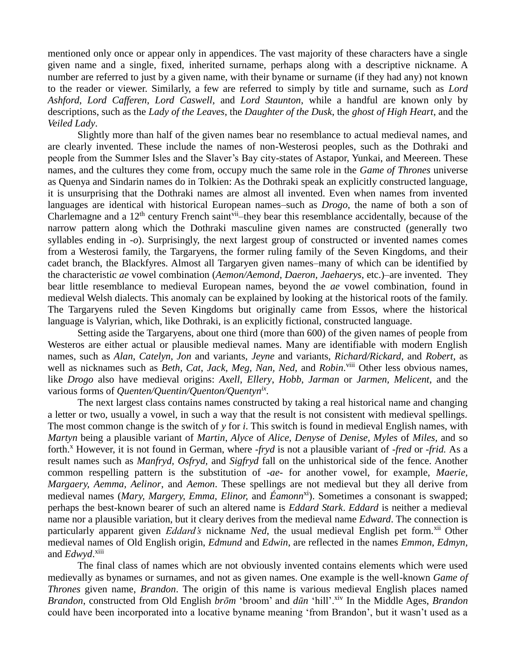mentioned only once or appear only in appendices. The vast majority of these characters have a single given name and a single, fixed, inherited surname, perhaps along with a descriptive nickname. A number are referred to just by a given name, with their byname or surname (if they had any) not known to the reader or viewer. Similarly, a few are referred to simply by title and surname, such as *Lord Ashford*, *Lord Cafferen*, *Lord Caswell*, and *Lord Staunton*, while a handful are known only by descriptions, such as the *Lady of the Leaves*, the *Daughter of the Dusk*, the *ghost of High Heart*, and the *Veiled Lady*.

Slightly more than half of the given names bear no resemblance to actual medieval names, and are clearly invented. These include the names of non-Westerosi peoples, such as the Dothraki and people from the Summer Isles and the Slaver's Bay city-states of Astapor, Yunkai, and Meereen. These names, and the cultures they come from, occupy much the same role in the *Game of Thrones* universe as Quenya and Sindarin names do in Tolkien: As the Dothraki speak an explicitly constructed language, it is unsurprising that the Dothraki names are almost all invented. Even when names from invented languages are identical with historical European names–such as *Drogo*, the name of both a son of Charlemagne and a  $12<sup>th</sup>$  century French saint<sup>vii</sup>-they bear this resemblance accidentally, because of the narrow pattern along which the Dothraki masculine given names are constructed (generally two syllables ending in *-o*). Surprisingly, the next largest group of constructed or invented names comes from a Westerosi family, the Targaryens, the former ruling family of the Seven Kingdoms, and their cadet branch, the Blackfyres. Almost all Targaryen given names–many of which can be identified by the characteristic *ae* vowel combination (*Aemon/Aemond*, *Daeron, Jaehaerys*, etc.)–are invented. They bear little resemblance to medieval European names, beyond the *ae* vowel combination, found in medieval Welsh dialects. This anomaly can be explained by looking at the historical roots of the family. The Targaryens ruled the Seven Kingdoms but originally came from Essos, where the historical language is Valyrian, which, like Dothraki, is an explicitly fictional, constructed language.

Setting aside the Targaryens, about one third (more than 600) of the given names of people from Westeros are either actual or plausible medieval names. Many are identifiable with modern English names, such as *Alan*, *Catelyn, Jon* and variants*, Jeyne* and variants, *Richard/Rickard*, and *Robert*, as well as nicknames such as *Beth, Cat, Jack, Meg, Nan, Ned,* and *Robin*.<sup>viii</sup> Other less obvious names, like *Drogo* also have medieval origins: *Axell*, *Ellery*, *Hobb*, *Jarman* or *Jarmen, Melicent*, and the various forms of *Quenten/Quentin/Quenton/Quentynix .*

The next largest class contains names constructed by taking a real historical name and changing a letter or two, usually a vowel, in such a way that the result is not consistent with medieval spellings. The most common change is the switch of *y* for *i*. This switch is found in medieval English names, with *Martyn* being a plausible variant of *Martin*, *Alyce* of *Alice, Denyse* of *Denise*, *Myles* of *Miles,* and so forth.<sup>x</sup> However, it is not found in German, where *-fryd* is not a plausible variant of *-fred* or *-frid.* As a result names such as *Manfryd, Osfryd,* and *Sigfryd* fall on the unhistorical side of the fence. Another common respelling pattern is the substitution of *-ae-* for another vowel, for example, *Maerie, Margaery, Aemma, Aelinor*, and *Aemon*. These spellings are not medieval but they all derive from medieval names (*Mary, Margery, Emma, Elinor,* and *Éamonn*<sup>xi</sup>). Sometimes a consonant is swapped; perhaps the best-known bearer of such an altered name is *Eddard Stark*. *Eddard* is neither a medieval name nor a plausible variation, but it cleary derives from the medieval name *Edward*. The connection is particularly apparent given *Eddard's* nickname *Ned*, the usual medieval English pet form.<sup>xii</sup> Other medieval names of Old English origin, *Edmund* and *Edwin*, are reflected in the names *Emmon*, *Edmyn,*  and *Edwyd*.<sup>xiii</sup>

The final class of names which are not obviously invented contains elements which were used medievally as bynames or surnames, and not as given names. One example is the well-known *Game of Thrones* given name, *Brandon*. The origin of this name is various medieval English places named *Brandon*, constructed from Old English *brōm* 'broom' and *dūn* 'hill'.<sup>xiv</sup> In the Middle Ages, *Brandon* could have been incorporated into a locative byname meaning 'from Brandon', but it wasn't used as a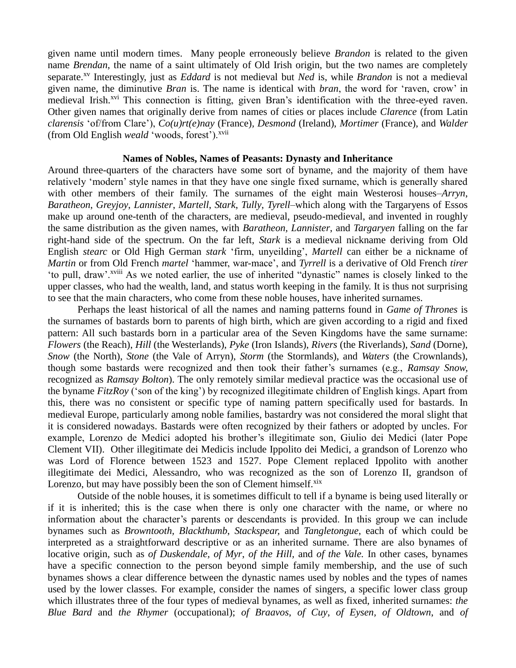given name until modern times. Many people erroneously believe *Brandon* is related to the given name *Brendan*, the name of a saint ultimately of Old Irish origin, but the two names are completely separate.xv Interestingly, just as *Eddard* is not medieval but *Ned* is, while *Brandon* is not a medieval given name, the diminutive *Bran* is. The name is identical with *bran*, the word for 'raven, crow' in medieval Irish.<sup>xvi</sup> This connection is fitting, given Bran's identification with the three-eyed raven. Other given names that originally derive from names of cities or places include *Clarence* (from Latin *clarensis* 'of/from Clare'), *Co(u)rt(e)nay* (France)*, Desmond* (Ireland), *Mortimer* (France), and *Walder* (from Old English *weald* 'woods, forest').<sup>xvii</sup>

#### **Names of Nobles, Names of Peasants: Dynasty and Inheritance**

Around three-quarters of the characters have some sort of byname, and the majority of them have relatively 'modern' style names in that they have one single fixed surname, which is generally shared with other members of their family. The surnames of the eight main Westerosi houses–*Arryn*, *Baratheon*, *Greyjoy*, *Lannister*, *Martell*, *Stark*, *Tully*, *Tyrell*–which along with the Targaryens of Essos make up around one-tenth of the characters, are medieval, pseudo-medieval, and invented in roughly the same distribution as the given names, with *Baratheon, Lannister*, and *Targaryen* falling on the far right-hand side of the spectrum. On the far left, *Stark* is a medieval nickname deriving from Old English *stearc* or Old High German *stark* 'firm, unyeilding', *Martell* can either be a nickname of *Martin* or from Old French *martel* 'hammer, war-mace', and *Tyrrell* is a derivative of Old French *tirer* 'to pull, draw'.xviii As we noted earlier, the use of inherited "dynastic" names is closely linked to the upper classes, who had the wealth, land, and status worth keeping in the family. It is thus not surprising to see that the main characters, who come from these noble houses, have inherited surnames.

Perhaps the least historical of all the names and naming patterns found in *Game of Thrones* is the surnames of bastards born to parents of high birth, which are given according to a rigid and fixed pattern: All such bastards born in a particular area of the Seven Kingdoms have the same surname: *Flowers* (the Reach), *Hill* (the Westerlands), *Pyke* (Iron Islands), *Rivers* (the Riverlands), *Sand* (Dorne), *Snow* (the North), *Stone* (the Vale of Arryn), *Storm* (the Stormlands), and *Waters* (the Crownlands), though some bastards were recognized and then took their father's surnames (e.g., *Ramsay Snow,*  recognized as *Ramsay Bolton*). The only remotely similar medieval practice was the occasional use of the byname *FitzRoy* ('son of the king') by recognized illegitimate children of English kings. Apart from this, there was no consistent or specific type of naming pattern specifically used for bastards. In medieval Europe, particularly among noble families, bastardry was not considered the moral slight that it is considered nowadays. Bastards were often recognized by their fathers or adopted by uncles. For example, Lorenzo de Medici adopted his brother's illegitimate son, Giulio dei Medici (later Pope Clement VII). Other illegitimate dei Medicis include Ippolito dei Medici, a grandson of Lorenzo who was Lord of Florence between 1523 and 1527. Pope Clement replaced Ippolito with another illegitimate dei Medici, Alessandro, who was recognized as the son of Lorenzo II, grandson of Lorenzo, but may have possibly been the son of Clement himself.<sup>xix</sup>

Outside of the noble houses, it is sometimes difficult to tell if a byname is being used literally or if it is inherited; this is the case when there is only one character with the name, or where no information about the character's parents or descendants is provided. In this group we can include bynames such as *Browntooth, Blackthumb*, *Stackspear,* and *Tangletongue*, each of which could be interpreted as a straightforward descriptive or as an inherited surname. There are also bynames of locative origin, such as *of Duskendale, of Myr*, *of the Hill,* and *of the Vale.* In other cases, bynames have a specific connection to the person beyond simple family membership, and the use of such bynames shows a clear difference between the dynastic names used by nobles and the types of names used by the lower classes. For example, consider the names of singers, a specific lower class group which illustrates three of the four types of medieval bynames, as well as fixed, inherited surnames: *the Blue Bard* and *the Rhymer* (occupational); *of Braavos*, *of Cuy*, *of Eysen, of Oldtown*, and *of*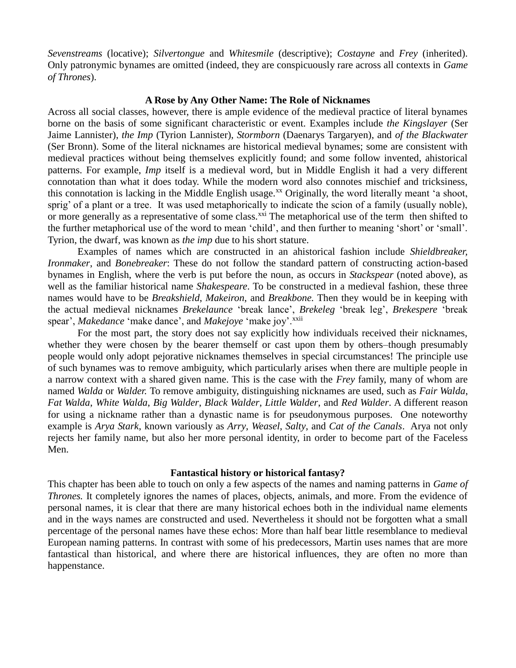*Sevenstreams* (locative); *Silvertongue* and *Whitesmile* (descriptive); *Costayne* and *Frey* (inherited). Only patronymic bynames are omitted (indeed, they are conspicuously rare across all contexts in *Game of Thrones*).

#### **A Rose by Any Other Name: The Role of Nicknames**

Across all social classes, however, there is ample evidence of the medieval practice of literal bynames borne on the basis of some significant characteristic or event. Examples include *the Kingslayer* (Ser Jaime Lannister), *the Imp* (Tyrion Lannister), *Stormborn* (Daenarys Targaryen), and *of the Blackwater* (Ser Bronn). Some of the literal nicknames are historical medieval bynames; some are consistent with medieval practices without being themselves explicitly found; and some follow invented, ahistorical patterns. For example, *Imp* itself is a medieval word, but in Middle English it had a very different connotation than what it does today. While the modern word also connotes mischief and tricksiness, this connotation is lacking in the Middle English usage.<sup>xx</sup> Originally, the word literally meant  $a$  shoot, sprig' of a plant or a tree. It was used metaphorically to indicate the scion of a family (usually noble), or more generally as a representative of some class.<sup>xxi</sup> The metaphorical use of the term then shifted to the further metaphorical use of the word to mean 'child', and then further to meaning 'short' or 'small'. Tyrion, the dwarf, was known as *the imp* due to his short stature.

Examples of names which are constructed in an ahistorical fashion include *Shieldbreaker, Ironmaker*, and *Bonebreaker*: These do not follow the standard pattern of constructing action-based bynames in English, where the verb is put before the noun, as occurs in *Stackspear* (noted above), as well as the familiar historical name *Shakespeare*. To be constructed in a medieval fashion, these three names would have to be *Breakshield*, *Makeiron*, and *Breakbone.* Then they would be in keeping with the actual medieval nicknames *Brekelaunce* 'break lance', *Brekeleg* 'break leg', *Brekespere* 'break spear', *Makedance* 'make dance', and *Makejoye* 'make joy'.<sup>xxii</sup>

For the most part, the story does not say explicitly how individuals received their nicknames, whether they were chosen by the bearer themself or cast upon them by others–though presumably people would only adopt pejorative nicknames themselves in special circumstances! The principle use of such bynames was to remove ambiguity, which particularly arises when there are multiple people in a narrow context with a shared given name. This is the case with the *Frey* family, many of whom are named *Walda* or *Walder.* To remove ambiguity, distinguishing nicknames are used, such as *Fair Walda*, *Fat Walda*, *White Walda*, *Big Walder*, *Black Walder*, *Little Walder*, and *Red Walder*. A different reason for using a nickname rather than a dynastic name is for pseudonymous purposes. One noteworthy example is *Arya Stark*, known variously as *Arry*, *Weasel*, *Salty*, and *Cat of the Canals*. Arya not only rejects her family name, but also her more personal identity, in order to become part of the Faceless Men.

### **Fantastical history or historical fantasy?**

This chapter has been able to touch on only a few aspects of the names and naming patterns in *Game of Thrones.* It completely ignores the names of places, objects, animals, and more. From the evidence of personal names, it is clear that there are many historical echoes both in the individual name elements and in the ways names are constructed and used. Nevertheless it should not be forgotten what a small percentage of the personal names have these echos: More than half bear little resemblance to medieval European naming patterns. In contrast with some of his predecessors, Martin uses names that are more fantastical than historical, and where there are historical influences, they are often no more than happenstance.